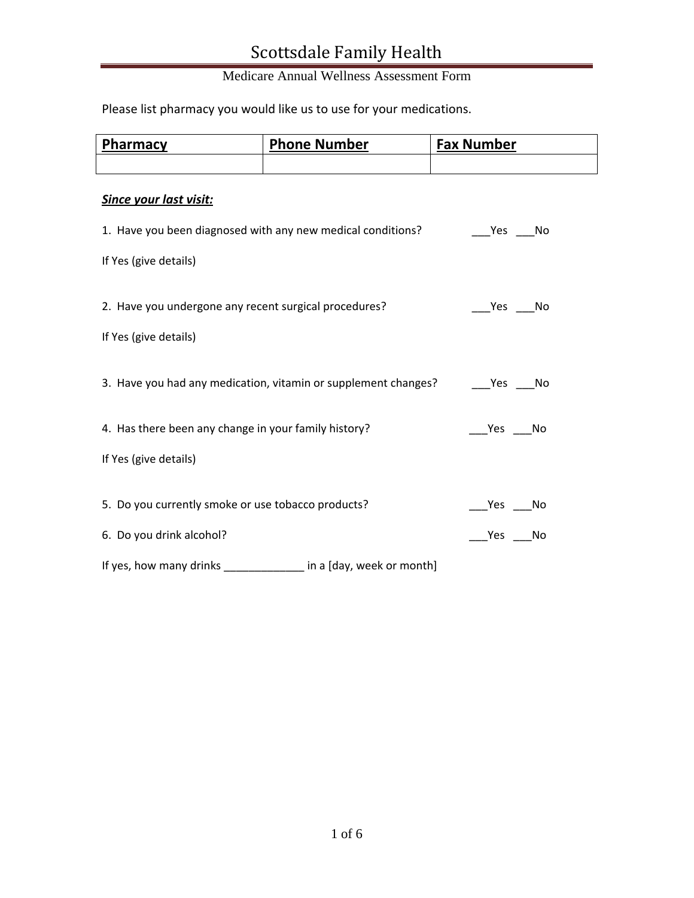## Medicare Annual Wellness Assessment Form

Please list pharmacy you would like us to use for your medications.

| Pharmacy | <b>Phone Number</b> | <b>Fax Number</b> |
|----------|---------------------|-------------------|
|          |                     |                   |

#### *Since your last visit:*

| 1. Have you been diagnosed with any new medical conditions?    | <b>Yes</b><br>No |
|----------------------------------------------------------------|------------------|
| If Yes (give details)                                          |                  |
|                                                                |                  |
| 2. Have you undergone any recent surgical procedures?          | Yes<br>No        |
| If Yes (give details)                                          |                  |
|                                                                |                  |
| 3. Have you had any medication, vitamin or supplement changes? | Yes<br>No        |
|                                                                |                  |
| 4. Has there been any change in your family history?           | Yes<br>No        |
| If Yes (give details)                                          |                  |
|                                                                |                  |
| 5. Do you currently smoke or use tobacco products?             | <b>Yes</b><br>No |
| 6. Do you drink alcohol?                                       | <b>Yes</b><br>No |
| If yes, how many drinks<br>in a [day, week or month]           |                  |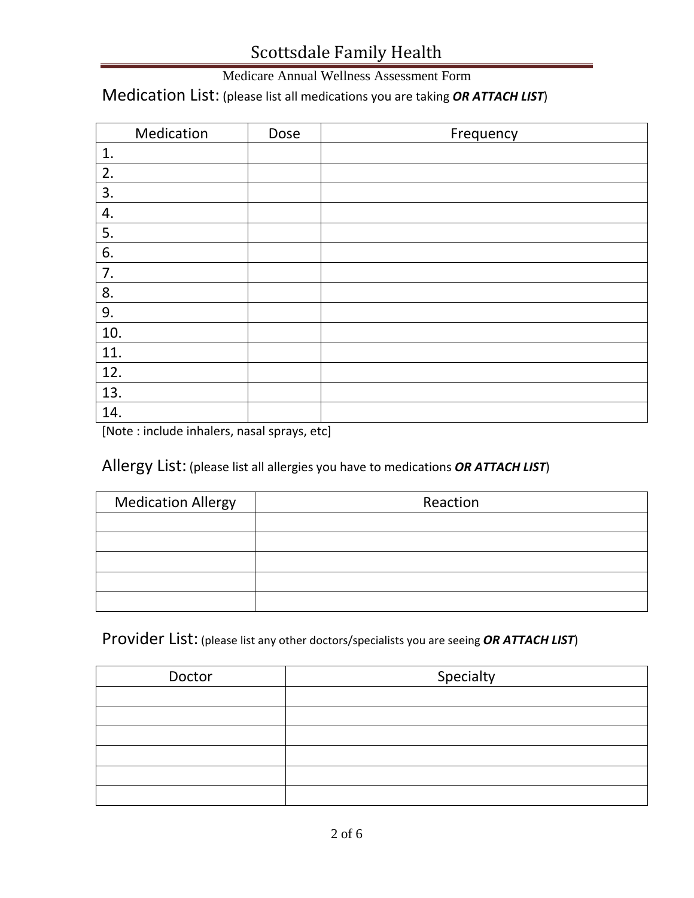Medicare Annual Wellness Assessment Form

## Medication List: (please list all medications you are taking *OR ATTACH LIST*)

| Medication | Dose | Frequency |
|------------|------|-----------|
| 1.         |      |           |
| 2.         |      |           |
| 3.         |      |           |
| 4.         |      |           |
| 5.         |      |           |
| 6.         |      |           |
| 7.         |      |           |
| 8.         |      |           |
| 9.         |      |           |
| 10.        |      |           |
| 11.        |      |           |
| 12.        |      |           |
| 13.        |      |           |
| 14.        |      |           |

[Note : include inhalers, nasal sprays, etc]

## Allergy List: (please list all allergies you have to medications *OR ATTACH LIST*)

| <b>Medication Allergy</b> | Reaction |
|---------------------------|----------|
|                           |          |
|                           |          |
|                           |          |
|                           |          |
|                           |          |

## Provider List: (please list any other doctors/specialists you are seeing *OR ATTACH LIST*)

| Doctor | Specialty |
|--------|-----------|
|        |           |
|        |           |
|        |           |
|        |           |
|        |           |
|        |           |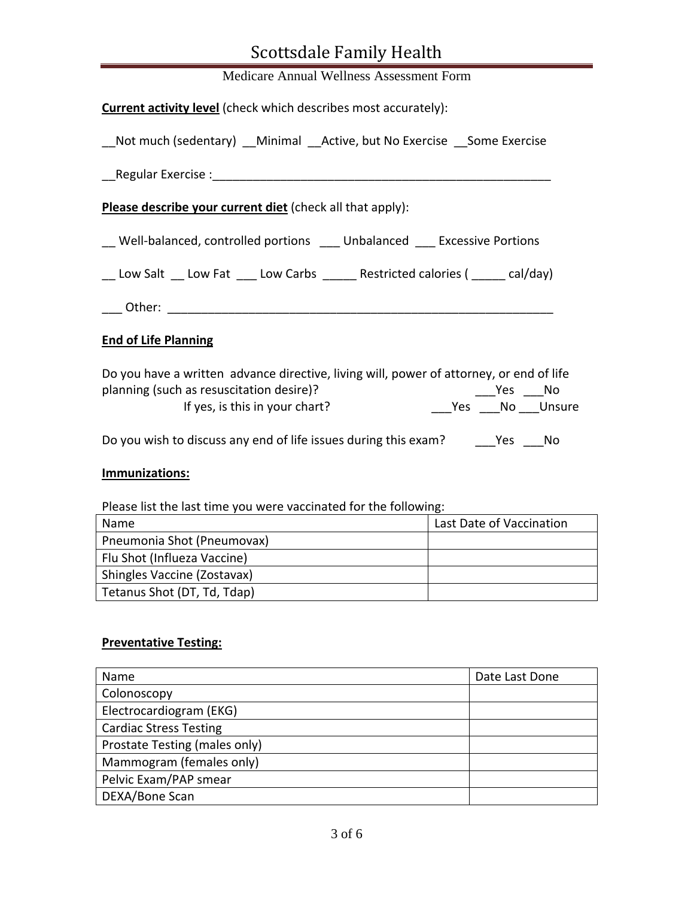Medicare Annual Wellness Assessment Form

| <b>Current activity level</b> (check which describes most accurately):                                                                                  |
|---------------------------------------------------------------------------------------------------------------------------------------------------------|
| Not much (sedentary) __Minimal __Active, but No Exercise Some Exercise                                                                                  |
|                                                                                                                                                         |
| Please describe your current diet (check all that apply):                                                                                               |
| __ Well-balanced, controlled portions ___ Unbalanced ___ Excessive Portions                                                                             |
| __ Low Salt __ Low Fat ___ Low Carbs _____ Restricted calories ( _____ cal/day)                                                                         |
|                                                                                                                                                         |
| <b>End of Life Planning</b>                                                                                                                             |
| Do you have a written advance directive, living will, power of attorney, or end of life<br>planning (such as resuscitation desire)?<br>_____Yes _____No |
| If yes, is this in your chart?                                                                                                                          |

Do you wish to discuss any end of life issues during this exam? \_\_\_\_\_\_Yes \_\_\_\_No

#### **Immunizations:**

Please list the last time you were vaccinated for the following:

| Name                        | Last Date of Vaccination |
|-----------------------------|--------------------------|
| Pneumonia Shot (Pneumovax)  |                          |
| Flu Shot (Influeza Vaccine) |                          |
| Shingles Vaccine (Zostavax) |                          |
| Tetanus Shot (DT, Td, Tdap) |                          |

#### **Preventative Testing:**

| Name                          | Date Last Done |
|-------------------------------|----------------|
| Colonoscopy                   |                |
| Electrocardiogram (EKG)       |                |
| <b>Cardiac Stress Testing</b> |                |
| Prostate Testing (males only) |                |
| Mammogram (females only)      |                |
| Pelvic Exam/PAP smear         |                |
| DEXA/Bone Scan                |                |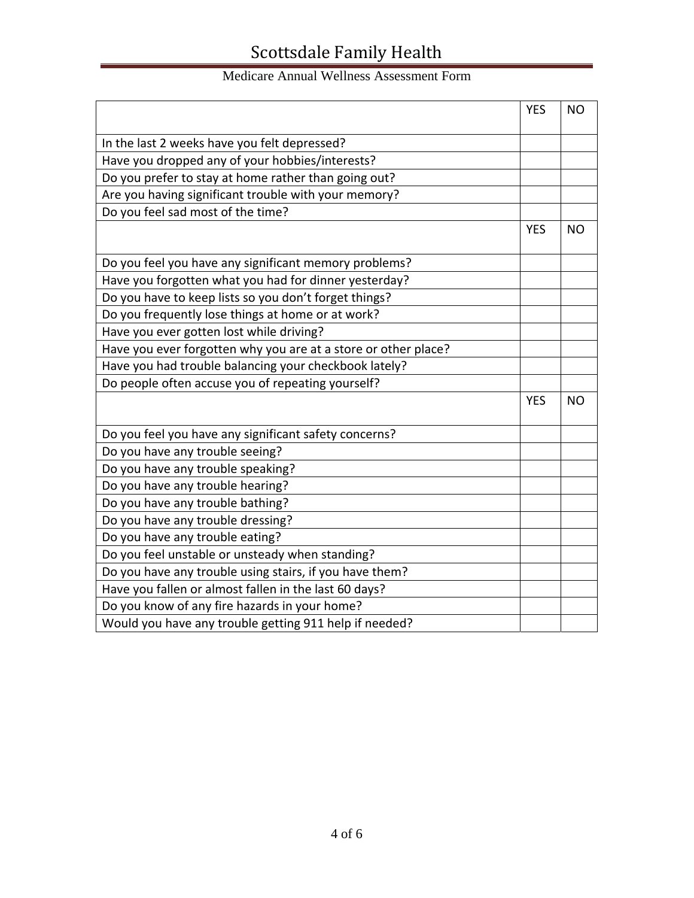### Medicare Annual Wellness Assessment Form

|                                                                | <b>YES</b> | <b>NO</b> |
|----------------------------------------------------------------|------------|-----------|
| In the last 2 weeks have you felt depressed?                   |            |           |
| Have you dropped any of your hobbies/interests?                |            |           |
| Do you prefer to stay at home rather than going out?           |            |           |
| Are you having significant trouble with your memory?           |            |           |
| Do you feel sad most of the time?                              |            |           |
|                                                                | <b>YES</b> | <b>NO</b> |
| Do you feel you have any significant memory problems?          |            |           |
| Have you forgotten what you had for dinner yesterday?          |            |           |
| Do you have to keep lists so you don't forget things?          |            |           |
| Do you frequently lose things at home or at work?              |            |           |
| Have you ever gotten lost while driving?                       |            |           |
| Have you ever forgotten why you are at a store or other place? |            |           |
| Have you had trouble balancing your checkbook lately?          |            |           |
| Do people often accuse you of repeating yourself?              |            |           |
|                                                                | <b>YES</b> | <b>NO</b> |
| Do you feel you have any significant safety concerns?          |            |           |
| Do you have any trouble seeing?                                |            |           |
| Do you have any trouble speaking?                              |            |           |
| Do you have any trouble hearing?                               |            |           |
| Do you have any trouble bathing?                               |            |           |
| Do you have any trouble dressing?                              |            |           |
| Do you have any trouble eating?                                |            |           |
| Do you feel unstable or unsteady when standing?                |            |           |
| Do you have any trouble using stairs, if you have them?        |            |           |
| Have you fallen or almost fallen in the last 60 days?          |            |           |
| Do you know of any fire hazards in your home?                  |            |           |
| Would you have any trouble getting 911 help if needed?         |            |           |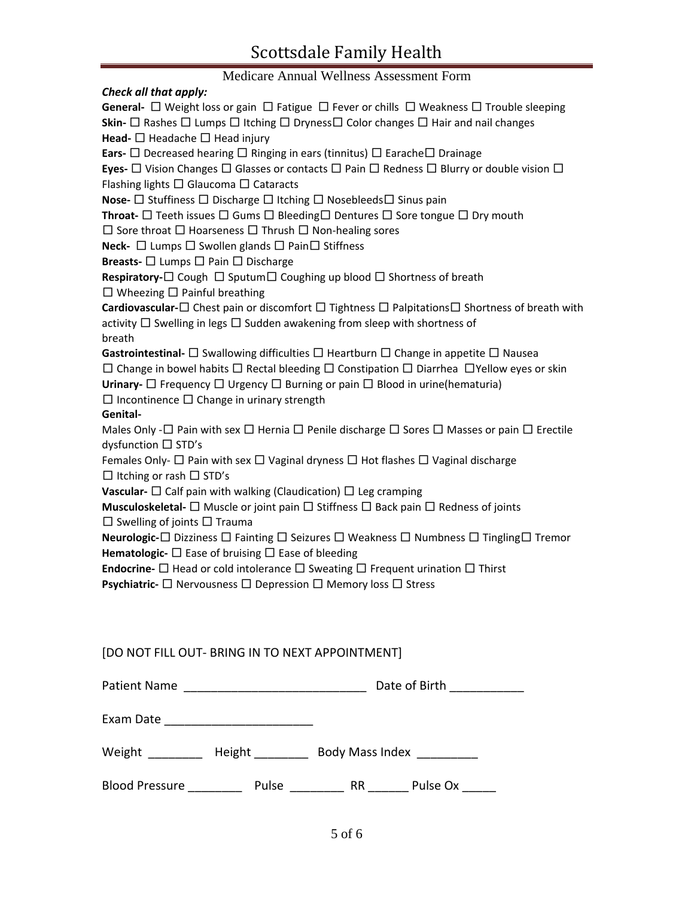Medicare Annual Wellness Assessment Form

#### *Check all that apply:*

General<sub>2</sub> □ Weight loss or gain □ Fatigue □ Fever or chills □ Weakness □ Trouble sleeping **Skin‐** □ Rashes □ Lumps □ Itching □ Dryness□ Color changes □ Hair and nail changes **Head‐** □ Headache □ Head injury **Ears-** □ Decreased hearing □ Ringing in ears (tinnitus) □ Earache□ Drainage **Eyes-** □ Vision Changes □ Glasses or contacts □ Pain □ Redness □ Blurry or double vision □ Flashing lights  $\Box$  Glaucoma  $\Box$  Cataracts **Nose-** □ Stuffiness □ Discharge □ Itching □ Nosebleeds□ Sinus pain **Throat‐** □ Teeth issues □ Gums □ Bleeding□ Dentures □ Sore tongue □ Dry mouth □ Sore throat □ Hoarseness □ Thrush □ Non-healing sores **Neck-**  $\Box$  Lumps  $\Box$  Swollen glands  $\Box$  Pain $\Box$  Stiffness **Breasts‐** □ Lumps □ Pain □ Discharge **Respiratory**<sup>-</sup>□ Cough □ Sputum□ Coughing up blood □ Shortness of breath  $\Box$  Wheezing  $\Box$  Painful breathing **Cardiovascular‐**□ Chest pain or discomfort □ Tightness □ Palpitations□ Shortness of breath with activity  $\Box$  Swelling in legs  $\Box$  Sudden awakening from sleep with shortness of breath **Gastrointestinal‐** □ Swallowing difficulties □ Heartburn □ Change in appetite □ Nausea □ Change in bowel habits □ Rectal bleeding □ Constipation □ Diarrhea □ Yellow eyes or skin **Urinary‐** □ Frequency □ Urgency □ Burning or pain □ Blood in urine(hematuria)  $\Box$  Incontinence  $\Box$  Change in urinary strength **Genital‐**  Males Only - $\Box$  Pain with sex  $\Box$  Hernia  $\Box$  Penile discharge  $\Box$  Sores  $\Box$  Masses or pain  $\Box$  Erectile dysfunction  $\Box$  STD's Females Only-  $\Box$  Pain with sex  $\Box$  Vaginal dryness  $\Box$  Hot flashes  $\Box$  Vaginal discharge  $\Box$  Itching or rash  $\Box$  STD's **Vascular**- □ Calf pain with walking (Claudication) □ Leg cramping **Musculoskeletal‐** □ Muscle or joint pain □ Stiffness □ Back pain □ Redness of joints  $\Box$  Swelling of joints  $\Box$  Trauma **Neurologic**-□ Dizziness □ Fainting □ Seizures □ Weakness □ Numbness □ Tingling□ Tremor **Hematologic‐** □ Ease of bruising □ Ease of bleeding **Endocrine‐** □ Head or cold intolerance □ Sweating □ Frequent urination □ Thirst **Psychiatric‐** □ Nervousness □ Depression □ Memory loss □ Stress

#### [DO NOT FILL OUT‐ BRING IN TO NEXT APPOINTMENT]

| <b>Patient Name</b>   |        | Date of Birth   |          |  |
|-----------------------|--------|-----------------|----------|--|
| Exam Date             |        |                 |          |  |
| Weight                | Height | Body Mass Index |          |  |
| <b>Blood Pressure</b> | Pulse  | RR              | Pulse Ox |  |